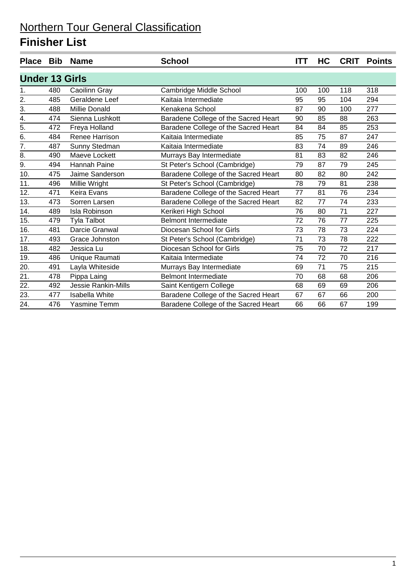|                       |     | Place Bib Name        | <b>School</b>                        | ITT | HC  | <b>CRIT</b> | <b>Points</b> |
|-----------------------|-----|-----------------------|--------------------------------------|-----|-----|-------------|---------------|
| <b>Under 13 Girls</b> |     |                       |                                      |     |     |             |               |
| 1.                    | 480 | Caoilinn Gray         | Cambridge Middle School              | 100 | 100 | 118         | 318           |
| 2.                    | 485 | Geraldene Leef        | Kaitaia Intermediate                 | 95  | 95  | 104         | 294           |
| 3.                    | 488 | <b>Millie Donald</b>  | Kenakena School                      | 87  | 90  | 100         | 277           |
| 4.                    | 474 | Sienna Lushkott       | Baradene College of the Sacred Heart | 90  | 85  | 88          | 263           |
| 5.                    | 472 | Freya Holland         | Baradene College of the Sacred Heart | 84  | 84  | 85          | 253           |
| 6.                    | 484 | Renee Harrison        | Kaitaia Intermediate                 | 85  | 75  | 87          | 247           |
| 7.                    | 487 | Sunny Stedman         | Kaitaia Intermediate                 | 83  | 74  | 89          | 246           |
| 8.                    | 490 | Maeve Lockett         | Murrays Bay Intermediate             | 81  | 83  | 82          | 246           |
| 9.                    | 494 | <b>Hannah Paine</b>   | St Peter's School (Cambridge)        | 79  | 87  | 79          | 245           |
| 10.                   | 475 | Jaime Sanderson       | Baradene College of the Sacred Heart | 80  | 82  | 80          | 242           |
| 11.                   | 496 | Millie Wright         | St Peter's School (Cambridge)        | 78  | 79  | 81          | 238           |
| 12.                   | 471 | <b>Keira Evans</b>    | Baradene College of the Sacred Heart | 77  | 81  | 76          | 234           |
| 13.                   | 473 | Sorren Larsen         | Baradene College of the Sacred Heart | 82  | 77  | 74          | 233           |
| 14.                   | 489 | Isla Robinson         | Kerikeri High School                 | 76  | 80  | 71          | 227           |
| 15.                   | 479 | <b>Tyla Talbot</b>    | <b>Belmont Intermediate</b>          | 72  | 76  | 77          | 225           |
| 16.                   | 481 | Darcie Granwal        | Diocesan School for Girls            | 73  | 78  | 73          | 224           |
| 17.                   | 493 | Grace Johnston        | St Peter's School (Cambridge)        | 71  | 73  | 78          | 222           |
| 18.                   | 482 | Jessica Lu            | Diocesan School for Girls            | 75  | 70  | 72          | 217           |
| 19.                   | 486 | Unique Raumati        | Kaitaia Intermediate                 | 74  | 72  | 70          | 216           |
| 20.                   | 491 | Layla Whiteside       | Murrays Bay Intermediate             | 69  | 71  | 75          | 215           |
| 21.                   | 478 | Pippa Laing           | <b>Belmont Intermediate</b>          | 70  | 68  | 68          | 206           |
| 22.                   | 492 | Jessie Rankin-Mills   | Saint Kentigern College              | 68  | 69  | 69          | 206           |
| 23.                   | 477 | <b>Isabella White</b> | Baradene College of the Sacred Heart | 67  | 67  | 66          | 200           |
| 24.                   | 476 | <b>Yasmine Temm</b>   | Baradene College of the Sacred Heart | 66  | 66  | 67          | 199           |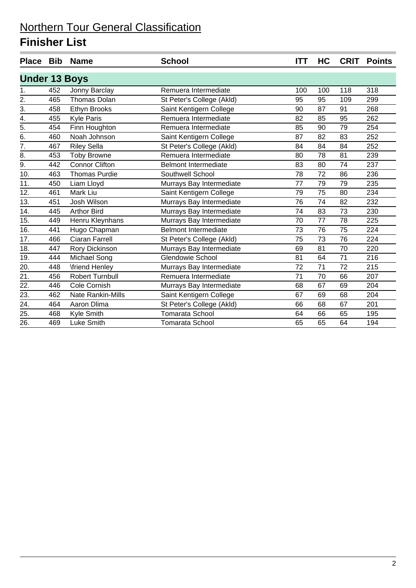|                      |     | Place Bib Name           | <b>School</b>               | <b>ITT</b> | HC  | <b>CRIT</b> | <b>Points</b> |
|----------------------|-----|--------------------------|-----------------------------|------------|-----|-------------|---------------|
| <b>Under 13 Boys</b> |     |                          |                             |            |     |             |               |
| 1.                   | 452 | Jonny Barclay            | Remuera Intermediate        | 100        | 100 | 118         | 318           |
| $\overline{2}$ .     | 465 | <b>Thomas Dolan</b>      | St Peter's College (Akld)   | 95         | 95  | 109         | 299           |
| $\overline{3}$ .     | 458 | Ethyn Brooks             | Saint Kentigern College     | 90         | 87  | 91          | 268           |
| 4.                   | 455 | <b>Kyle Paris</b>        | Remuera Intermediate        | 82         | 85  | 95          | 262           |
| 5.                   | 454 | Finn Houghton            | Remuera Intermediate        | 85         | 90  | 79          | 254           |
| 6.                   | 460 | Noah Johnson             | Saint Kentigern College     | 87         | 82  | 83          | 252           |
| 7.                   | 467 | <b>Riley Sella</b>       | St Peter's College (Akld)   | 84         | 84  | 84          | 252           |
| 8.                   | 453 | <b>Toby Browne</b>       | Remuera Intermediate        | 80         | 78  | 81          | 239           |
| $\overline{9}$ .     | 442 | <b>Connor Clifton</b>    | <b>Belmont Intermediate</b> | 83         | 80  | 74          | 237           |
| 10.                  | 463 | <b>Thomas Purdie</b>     | Southwell School            | 78         | 72  | 86          | 236           |
| 11.                  | 450 | Liam Lloyd               | Murrays Bay Intermediate    | 77         | 79  | 79          | 235           |
| 12.                  | 461 | Mark Liu                 | Saint Kentigern College     | 79         | 75  | 80          | 234           |
| 13.                  | 451 | Josh Wilson              | Murrays Bay Intermediate    | 76         | 74  | 82          | 232           |
| 14.                  | 445 | <b>Arthor Bird</b>       | Murrays Bay Intermediate    | 74         | 83  | 73          | 230           |
| 15.                  | 449 | Henru Kleynhans          | Murrays Bay Intermediate    | 70         | 77  | 78          | 225           |
| 16.                  | 441 | Hugo Chapman             | <b>Belmont Intermediate</b> | 73         | 76  | 75          | 224           |
| 17.                  | 466 | <b>Ciaran Farrell</b>    | St Peter's College (Akld)   | 75         | 73  | 76          | 224           |
| 18.                  | 447 | Rory Dickinson           | Murrays Bay Intermediate    | 69         | 81  | 70          | 220           |
| 19.                  | 444 | Michael Song             | Glendowie School            | 81         | 64  | 71          | 216           |
| 20.                  | 448 | <b>\friend Henley</b>    | Murrays Bay Intermediate    | 72         | 71  | 72          | 215           |
| 21.                  | 456 | <b>Robert Turnbull</b>   | Remuera Intermediate        | 71         | 70  | 66          | 207           |
| 22.                  | 446 | Cole Cornish             | Murrays Bay Intermediate    | 68         | 67  | 69          | 204           |
| 23.                  | 462 | <b>Nate Rankin-Mills</b> | Saint Kentigern College     | 67         | 69  | 68          | 204           |
| $\overline{24}$ .    | 464 | Aaron Dlima              | St Peter's College (Akld)   | 66         | 68  | 67          | 201           |
| 25.                  | 468 | Kyle Smith               | Tomarata School             | 64         | 66  | 65          | 195           |
| 26.                  | 469 | Luke Smith               | Tomarata School             | 65         | 65  | 64          | 194           |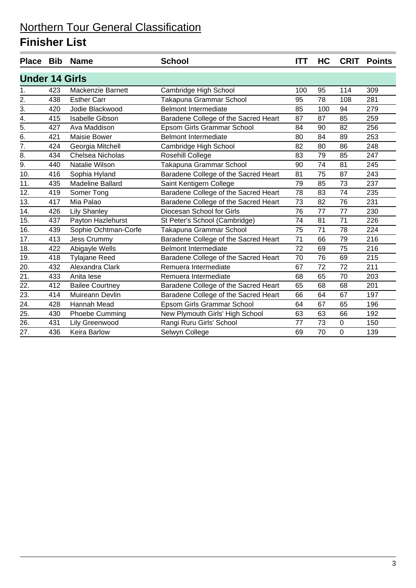|                       |     | Place Bib Name          | <b>School</b>                        | <b>ITT</b> | HC  | <b>CRIT</b> | <b>Points</b> |
|-----------------------|-----|-------------------------|--------------------------------------|------------|-----|-------------|---------------|
| <b>Under 14 Girls</b> |     |                         |                                      |            |     |             |               |
| 1.                    | 423 | Mackenzie Barnett       | Cambridge High School                | 100        | 95  | 114         | 309           |
| $\overline{2}$ .      | 438 | <b>Esther Carr</b>      | Takapuna Grammar School              | 95         | 78  | 108         | 281           |
| $\overline{3}$ .      | 420 | Jodie Blackwood         | <b>Belmont Intermediate</b>          | 85         | 100 | 94          | 279           |
| 4.                    | 415 | <b>Isabelle Gibson</b>  | Baradene College of the Sacred Heart | 87         | 87  | 85          | 259           |
| $\overline{5}$ .      | 427 | Ava Maddison            | Epsom Girls Grammar School           | 84         | 90  | 82          | 256           |
| 6.                    | 421 | Maisie Bower            | <b>Belmont Intermediate</b>          | 80         | 84  | 89          | 253           |
| $\overline{7}$ .      | 424 | Georgia Mitchell        | Cambridge High School                | 82         | 80  | 86          | 248           |
| 8.                    | 434 | Chelsea Nicholas        | Rosehill College                     | 83         | 79  | 85          | 247           |
| 9.                    | 440 | Natalie Wilson          | Takapuna Grammar School              | 90         | 74  | 81          | 245           |
| 10.                   | 416 | Sophia Hyland           | Baradene College of the Sacred Heart | 81         | 75  | 87          | 243           |
| 11.                   | 435 | <b>Madeline Ballard</b> | Saint Kentigern College              | 79         | 85  | 73          | 237           |
| 12.                   | 419 | Somer Tong              | Baradene College of the Sacred Heart | 78         | 83  | 74          | 235           |
| 13.                   | 417 | Mia Palao               | Baradene College of the Sacred Heart | 73         | 82  | 76          | 231           |
| 14.                   | 426 | <b>Lily Shanley</b>     | Diocesan School for Girls            | 76         | 77  | 77          | 230           |
| 15.                   | 437 | Payton Hazlehurst       | St Peter's School (Cambridge)        | 74         | 81  | 71          | 226           |
| 16.                   | 439 | Sophie Ochtman-Corfe    | Takapuna Grammar School              | 75         | 71  | 78          | 224           |
| 17.                   | 413 | <b>Jess Crummy</b>      | Baradene College of the Sacred Heart | 71         | 66  | 79          | 216           |
| 18.                   | 422 | Abigayle Wells          | <b>Belmont Intermediate</b>          | 72         | 69  | 75          | 216           |
| 19.                   | 418 | <b>Tylajane Reed</b>    | Baradene College of the Sacred Heart | 70         | 76  | 69          | 215           |
| 20.                   | 432 | Alexandra Clark         | Remuera Intermediate                 | 67         | 72  | 72          | 211           |
| 21.                   | 433 | Anita lese              | Remuera Intermediate                 | 68         | 65  | 70          | 203           |
| 22.                   | 412 | <b>Bailee Courtney</b>  | Baradene College of the Sacred Heart | 65         | 68  | 68          | 201           |
| 23.                   | 414 | Muireann Devlin         | Baradene College of the Sacred Heart | 66         | 64  | 67          | 197           |
| 24.                   | 428 | Hannah Mead             | Epsom Girls Grammar School           | 64         | 67  | 65          | 196           |
| 25.                   | 430 | Phoebe Cumming          | New Plymouth Girls' High School      | 63         | 63  | 66          | 192           |
| 26.                   | 431 | Lily Greenwood          | Rangi Ruru Girls' School             | 77         | 73  | $\mathbf 0$ | 150           |
| 27.                   | 436 | <b>Keira Barlow</b>     | Selwyn College                       | 69         | 70  | $\Omega$    | 139           |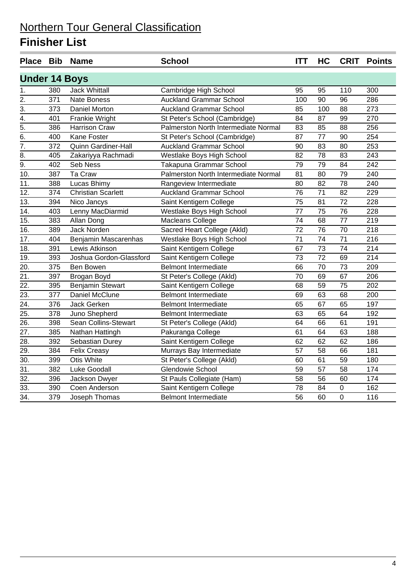|                      |     | Place Bib Name             | <b>School</b>                        | <b>ITT</b>      | <b>HC</b>       | <b>CRIT</b> | <b>Points</b> |
|----------------------|-----|----------------------------|--------------------------------------|-----------------|-----------------|-------------|---------------|
| <b>Under 14 Boys</b> |     |                            |                                      |                 |                 |             |               |
| 1.                   | 380 | <b>Jack Whittall</b>       | Cambridge High School                | 95              | 95              | 110         | 300           |
| $\overline{2}$ .     | 371 | <b>Nate Boness</b>         | <b>Auckland Grammar School</b>       | 100             | 90              | 96          | 286           |
| $\overline{3}$ .     | 373 | Daniel Morton              | <b>Auckland Grammar School</b>       | 85              | 100             | 88          | 273           |
| $\overline{4}$ .     | 401 | Frankie Wright             | St Peter's School (Cambridge)        | 84              | 87              | 99          | 270           |
| $\overline{5}$ .     | 386 | <b>Harrison Craw</b>       | Palmerston North Intermediate Normal | 83              | 85              | 88          | 256           |
| $\overline{6}$ .     | 400 | Kane Foster                | St Peter's School (Cambridge)        | 87              | 77              | 90          | 254           |
| $\overline{7}$ .     | 372 | <b>Quinn Gardiner-Hall</b> | <b>Auckland Grammar School</b>       | 90              | 83              | 80          | 253           |
| 8.                   | 405 | Zakariyya Rachmadi         | Westlake Boys High School            | 82              | 78              | 83          | 243           |
| $\overline{9}$ .     | 402 | Seb Ness                   | Takapuna Grammar School              | 79              | 79              | 84          | 242           |
| 10.                  | 387 | Ta Craw                    | Palmerston North Intermediate Normal | 81              | 80              | 79          | 240           |
| 11.                  | 388 | Lucas Bhimy                | Rangeview Intermediate               | 80              | 82              | 78          | 240           |
| $\overline{12}$      | 374 | <b>Christian Scarlett</b>  | <b>Auckland Grammar School</b>       | $\overline{76}$ | $\overline{71}$ | 82          | 229           |
| 13.                  | 394 | Nico Jancys                | Saint Kentigern College              | 75              | 81              | 72          | 228           |
| 14.                  | 403 | Lenny MacDiarmid           | Westlake Boys High School            | 77              | 75              | 76          | 228           |
| 15.                  | 383 | Allan Dong                 | <b>Macleans College</b>              | 74              | 68              | 77          | 219           |
| 16.                  | 389 | Jack Norden                | Sacred Heart College (Akld)          | 72              | 76              | 70          | 218           |
| 17.                  | 404 | Benjamin Mascarenhas       | Westlake Boys High School            | 71              | 74              | 71          | 216           |
| $\overline{18}$ .    | 391 | Lewis Atkinson             | Saint Kentigern College              | 67              | $\overline{73}$ | 74          | 214           |
| 19.                  | 393 | Joshua Gordon-Glassford    | Saint Kentigern College              | 73              | 72              | 69          | 214           |
| 20.                  | 375 | Ben Bowen                  | <b>Belmont Intermediate</b>          | 66              | 70              | 73          | 209           |
| 21.                  | 397 | Brogan Boyd                | St Peter's College (Akld)            | 70              | 69              | 67          | 206           |
| $\overline{22}$ .    | 395 | Benjamin Stewart           | Saint Kentigern College              | 68              | 59              | 75          | 202           |
| 23.                  | 377 | Daniel McClune             | <b>Belmont Intermediate</b>          | 69              | 63              | 68          | 200           |
| $\overline{24}$ .    | 376 | <b>Jack Gerken</b>         | <b>Belmont Intermediate</b>          | 65              | 67              | 65          | 197           |
| 25.                  | 378 | Juno Shepherd              | <b>Belmont Intermediate</b>          | 63              | 65              | 64          | 192           |
| 26.                  | 398 | Sean Collins-Stewart       | St Peter's College (Akld)            | 64              | 66              | 61          | 191           |
| 27.                  | 385 | Nathan Hattingh            | Pakuranga College                    | 61              | 64              | 63          | 188           |
| $\overline{28}$ .    | 392 | Sebastian Durey            | Saint Kentigern College              | 62              | 62              | 62          | 186           |
| 29.                  | 384 | <b>Felix Creasy</b>        | Murrays Bay Intermediate             | 57              | 58              | 66          | 181           |
| 30.                  | 399 | <b>Otis White</b>          | St Peter's College (Akld)            | 60              | 61              | 59          | 180           |
| 31.                  | 382 | <b>Luke Goodall</b>        | Glendowie School                     | 59              | 57              | 58          | 174           |
| 32.                  | 396 | Jackson Dwyer              | St Pauls Collegiate (Ham)            | 58              | 56              | 60          | 174           |
| 33.                  | 390 | Coen Anderson              | Saint Kentigern College              | 78              | 84              | $\pmb{0}$   | 162           |
| 34.                  | 379 | Joseph Thomas              | <b>Belmont Intermediate</b>          | 56              | 60              | $\mathbf 0$ | 116           |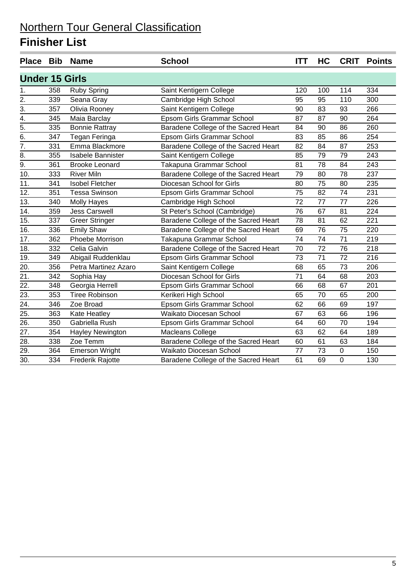|                       |     | Place Bib Name           | <b>School</b>                        | <b>ITT</b>      | <b>HC</b> |             | <b>CRIT Points</b> |
|-----------------------|-----|--------------------------|--------------------------------------|-----------------|-----------|-------------|--------------------|
| <b>Under 15 Girls</b> |     |                          |                                      |                 |           |             |                    |
| 1.                    | 358 | <b>Ruby Spring</b>       | Saint Kentigern College              | 120             | 100       | 114         | 334                |
| 2.                    | 339 | Seana Gray               | Cambridge High School                | 95              | 95        | 110         | 300                |
| 3.                    | 357 | Olivia Rooney            | Saint Kentigern College              | 90              | 83        | 93          | 266                |
| $\overline{4}$ .      | 345 | Maia Barclay             | Epsom Girls Grammar School           | 87              | 87        | 90          | 264                |
| 5.                    | 335 | <b>Bonnie Rattray</b>    | Baradene College of the Sacred Heart | 84              | 90        | 86          | 260                |
| $\overline{6}$ .      | 347 | Tegan Feringa            | Epsom Girls Grammar School           | 83              | 85        | 86          | 254                |
| 7.                    | 331 | Emma Blackmore           | Baradene College of the Sacred Heart | 82              | 84        | 87          | 253                |
| $\overline{8}$ .      | 355 | <b>Isabele Bannister</b> | Saint Kentigern College              | 85              | 79        | 79          | 243                |
| 9.                    | 361 | <b>Brooke Leonard</b>    | Takapuna Grammar School              | 81              | 78        | 84          | 243                |
| 10.                   | 333 | <b>River Miln</b>        | Baradene College of the Sacred Heart | $\overline{79}$ | 80        | 78          | 237                |
| 11.                   | 341 | <b>Isobel Fletcher</b>   | Diocesan School for Girls            | 80              | 75        | 80          | 235                |
| 12.                   | 351 | <b>Tessa Swinson</b>     | Epsom Girls Grammar School           | $\overline{75}$ | 82        | 74          | 231                |
| 13.                   | 340 | Molly Hayes              | Cambridge High School                | 72              | 77        | 77          | 226                |
| 14.                   | 359 | <b>Jess Carswell</b>     | St Peter's School (Cambridge)        | 76              | 67        | 81          | 224                |
| 15.                   | 337 | <b>Greer Stringer</b>    | Baradene College of the Sacred Heart | 78              | 81        | 62          | 221                |
| 16.                   | 336 | <b>Emily Shaw</b>        | Baradene College of the Sacred Heart | 69              | 76        | 75          | 220                |
| 17.                   | 362 | Phoebe Morrison          | Takapuna Grammar School              | 74              | 74        | 71          | 219                |
| 18.                   | 332 | Celia Galvin             | Baradene College of the Sacred Heart | 70              | 72        | 76          | 218                |
| 19.                   | 349 | Abigail Ruddenklau       | Epsom Girls Grammar School           | 73              | 71        | 72          | 216                |
| 20.                   | 356 | Petra Martinez Azaro     | Saint Kentigern College              | 68              | 65        | 73          | 206                |
| 21.                   | 342 | Sophia Hay               | Diocesan School for Girls            | 71              | 64        | 68          | 203                |
| $\overline{22}$ .     | 348 | Georgia Herrell          | Epsom Girls Grammar School           | 66              | 68        | 67          | 201                |
| $\overline{23}$ .     | 353 | <b>Tiree Robinson</b>    | Kerikeri High School                 | 65              | 70        | 65          | 200                |
| $\overline{24}$ .     | 346 | Zoe Broad                | Epsom Girls Grammar School           | 62              | 66        | 69          | 197                |
| 25.                   | 363 | Kate Heatley             | Waikato Diocesan School              | 67              | 63        | 66          | 196                |
| 26.                   | 350 | Gabriella Rush           | Epsom Girls Grammar School           | 64              | 60        | 70          | 194                |
| 27.                   | 354 | Hayley Newington         | Macleans College                     | 63              | 62        | 64          | 189                |
| 28.                   | 338 | Zoe Temm                 | Baradene College of the Sacred Heart | 60              | 61        | 63          | 184                |
| 29.                   | 364 | <b>Emerson Wright</b>    | Waikato Diocesan School              | 77              | 73        | 0           | 150                |
| 30.                   | 334 | Frederik Rajotte         | Baradene College of the Sacred Heart | 61              | 69        | $\mathbf 0$ | 130                |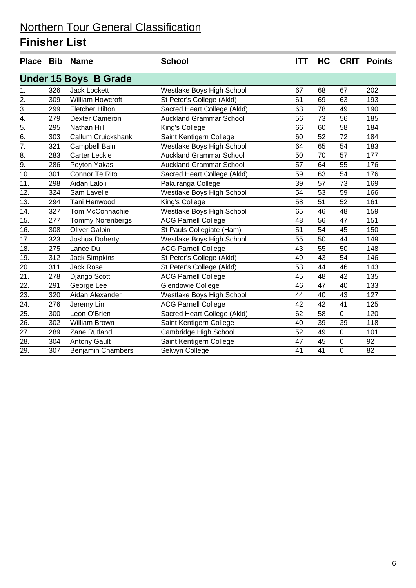|                   |     | Place Bib Name               | <b>School</b>                  | <b>ITT</b> | HC | <b>CRIT</b> | <b>Points</b> |
|-------------------|-----|------------------------------|--------------------------------|------------|----|-------------|---------------|
|                   |     | <b>Under 15 Boys B Grade</b> |                                |            |    |             |               |
| 1.                | 326 | <b>Jack Lockett</b>          | Westlake Boys High School      | 67         | 68 | 67          | 202           |
| $\overline{2}$ .  | 309 | William Howcroft             | St Peter's College (Akld)      | 61         | 69 | 63          | 193           |
| $\overline{3}$ .  | 299 | <b>Fletcher Hilton</b>       | Sacred Heart College (Akld)    | 63         | 78 | 49          | 190           |
| 4.                | 279 | <b>Dexter Cameron</b>        | <b>Auckland Grammar School</b> | 56         | 73 | 56          | 185           |
| $\frac{1}{5}$     | 295 | Nathan Hill                  | King's College                 | 66         | 60 | 58          | 184           |
| $\overline{6}$ .  | 303 | <b>Callum Cruickshank</b>    | Saint Kentigern College        | 60         | 52 | 72          | 184           |
| $\overline{7}$ .  | 321 | Campbell Bain                | Westlake Boys High School      | 64         | 65 | 54          | 183           |
| 8.                | 283 | <b>Carter Leckie</b>         | <b>Auckland Grammar School</b> | 50         | 70 | 57          | 177           |
| $\overline{9}$ .  | 286 | Peyton Yakas                 | <b>Auckland Grammar School</b> | 57         | 64 | 55          | 176           |
| 10.               | 301 | Connor Te Rito               | Sacred Heart College (Akld)    | 59         | 63 | 54          | 176           |
| 11.               | 298 | Aidan Laloli                 | Pakuranga College              | 39         | 57 | 73          | 169           |
| 12.               | 324 | Sam Lavelle                  | Westlake Boys High School      | 54         | 53 | 59          | 166           |
| 13.               | 294 | Tani Henwood                 | King's College                 | 58         | 51 | 52          | 161           |
| 14.               | 327 | Tom McConnachie              | Westlake Boys High School      | 65         | 46 | 48          | 159           |
| 15.               | 277 | Tommy Norenbergs             | <b>ACG Parnell College</b>     | 48         | 56 | 47          | 151           |
| 16.               | 308 | <b>Oliver Galpin</b>         | St Pauls Collegiate (Ham)      | 51         | 54 | 45          | 150           |
| 17.               | 323 | Joshua Doherty               | Westlake Boys High School      | 55         | 50 | 44          | 149           |
| 18.               | 275 | Lance Du                     | <b>ACG Parnell College</b>     | 43         | 55 | 50          | 148           |
| 19.               | 312 | <b>Jack Simpkins</b>         | St Peter's College (Akld)      | 49         | 43 | 54          | 146           |
| 20.               | 311 | <b>Jack Rose</b>             | St Peter's College (Akld)      | 53         | 44 | 46          | 143           |
| $\overline{21}$ . | 278 | Django Scott                 | <b>ACG Parnell College</b>     | 45         | 48 | 42          | 135           |
| 22.               | 291 | George Lee                   | Glendowie College              | 46         | 47 | 40          | 133           |
| 23.               | 320 | Aidan Alexander              | Westlake Boys High School      | 44         | 40 | 43          | 127           |
| $\overline{24}$ . | 276 | Jeremy Lin                   | <b>ACG Parnell College</b>     | 42         | 42 | 41          | 125           |
| 25.               | 300 | Leon O'Brien                 | Sacred Heart College (Akld)    | 62         | 58 | 0           | 120           |
| 26.               | 302 | William Brown                | Saint Kentigern College        | 40         | 39 | 39          | 118           |
| 27.               | 289 | Zane Rutland                 | Cambridge High School          | 52         | 49 | $\pmb{0}$   | 101           |
| $\overline{28}$ . | 304 | <b>Antony Gault</b>          | Saint Kentigern College        | 47         | 45 | $\pmb{0}$   | 92            |
| 29.               | 307 | <b>Benjamin Chambers</b>     | Selwyn College                 | 41         | 41 | 0           | 82            |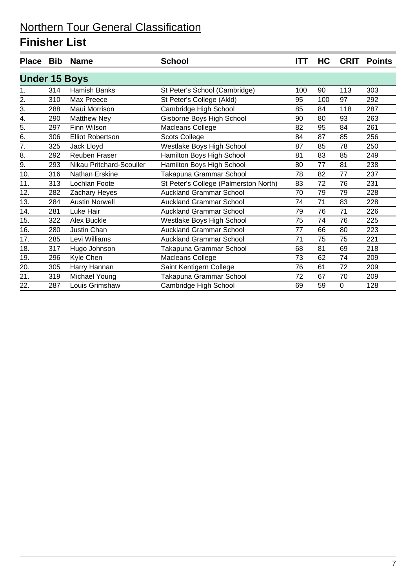| <b>Place</b>         | Bib | <b>Name</b>              | <b>School</b>                         | <b>ITT</b> | HC  | <b>CRIT</b> | <b>Points</b> |
|----------------------|-----|--------------------------|---------------------------------------|------------|-----|-------------|---------------|
| <b>Under 15 Boys</b> |     |                          |                                       |            |     |             |               |
| 1.                   | 314 | <b>Hamish Banks</b>      | St Peter's School (Cambridge)         | 100        | 90  | 113         | 303           |
| 2.                   | 310 | Max Preece               | St Peter's College (Akld)             | 95         | 100 | 97          | 292           |
| 3.                   | 288 | Maui Morrison            | Cambridge High School                 | 85         | 84  | 118         | 287           |
| 4.                   | 290 | <b>Matthew Ney</b>       | Gisborne Boys High School             | 90         | 80  | 93          | 263           |
| 5.                   | 297 | Finn Wilson              | Macleans College                      | 82         | 95  | 84          | 261           |
| 6.                   | 306 | <b>Elliot Robertson</b>  | <b>Scots College</b>                  | 84         | 87  | 85          | 256           |
| $\overline{7}$ .     | 325 | Jack Lloyd               | Westlake Boys High School             | 87         | 85  | 78          | 250           |
| 8.                   | 292 | <b>Reuben Fraser</b>     | Hamilton Boys High School             | 81         | 83  | 85          | 249           |
| 9.                   | 293 | Nikau Pritchard-Scouller | Hamilton Boys High School             | 80         | 77  | 81          | 238           |
| 10.                  | 316 | Nathan Erskine           | Takapuna Grammar School               | 78         | 82  | 77          | 237           |
| 11.                  | 313 | Lochlan Foote            | St Peter's College (Palmerston North) | 83         | 72  | 76          | 231           |
| 12.                  | 282 | Zachary Heyes            | <b>Auckland Grammar School</b>        | 70         | 79  | 79          | 228           |
| 13.                  | 284 | <b>Austin Norwell</b>    | <b>Auckland Grammar School</b>        | 74         | 71  | 83          | 228           |
| 14.                  | 281 | Luke Hair                | <b>Auckland Grammar School</b>        | 79         | 76  | 71          | 226           |
| 15.                  | 322 | Alex Buckle              | Westlake Boys High School             | 75         | 74  | 76          | 225           |
| 16.                  | 280 | Justin Chan              | <b>Auckland Grammar School</b>        | 77         | 66  | 80          | 223           |
| 17.                  | 285 | Levi Williams            | <b>Auckland Grammar School</b>        | 71         | 75  | 75          | 221           |
| 18.                  | 317 | Hugo Johnson             | Takapuna Grammar School               | 68         | 81  | 69          | 218           |
| 19.                  | 296 | Kyle Chen                | Macleans College                      | 73         | 62  | 74          | 209           |
| 20.                  | 305 | Harry Hannan             | Saint Kentigern College               | 76         | 61  | 72          | 209           |
| 21.                  | 319 | Michael Young            | Takapuna Grammar School               | 72         | 67  | 70          | 209           |
| 22.                  | 287 | Louis Grimshaw           | Cambridge High School                 | 69         | 59  | 0           | 128           |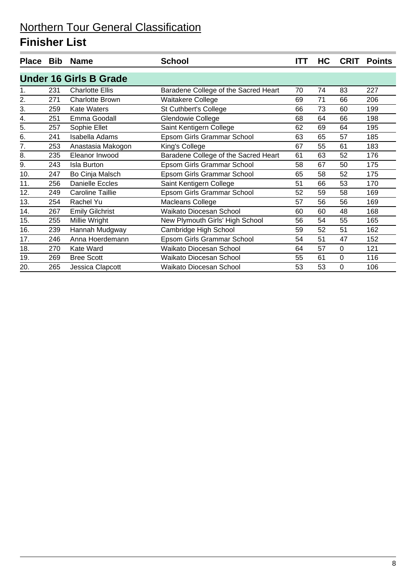| <b>Place</b> | <b>Bib</b> | <b>Name</b>                   | <b>School</b>                        | <b>ITT</b> | HC | <b>CRIT</b> | <b>Points</b> |
|--------------|------------|-------------------------------|--------------------------------------|------------|----|-------------|---------------|
|              |            | <b>Under 16 Girls B Grade</b> |                                      |            |    |             |               |
| 1.           | 231        | <b>Charlotte Ellis</b>        | Baradene College of the Sacred Heart | 70         | 74 | 83          | 227           |
| 2.           | 271        | <b>Charlotte Brown</b>        | Waitakere College                    | 69         | 71 | 66          | 206           |
| 3.           | 259        | <b>Kate Waters</b>            | St Cuthbert's College                | 66         | 73 | 60          | 199           |
| 4.           | 251        | Emma Goodall                  | <b>Glendowie College</b>             | 68         | 64 | 66          | 198           |
| 5.           | 257        | Sophie Ellet                  | Saint Kentigern College              | 62         | 69 | 64          | 195           |
| 6.           | 241        | <b>Isabella Adams</b>         | Epsom Girls Grammar School           | 63         | 65 | 57          | 185           |
| 7.           | 253        | Anastasia Makogon             | King's College                       | 67         | 55 | 61          | 183           |
| 8.           | 235        | Eleanor Inwood                | Baradene College of the Sacred Heart | 61         | 63 | 52          | 176           |
| 9.           | 243        | <b>Isla Burton</b>            | Epsom Girls Grammar School           | 58         | 67 | 50          | 175           |
| 10.          | 247        | Bo Cinja Malsch               | Epsom Girls Grammar School           | 65         | 58 | 52          | 175           |
| 11.          | 256        | <b>Danielle Eccles</b>        | Saint Kentigern College              | 51         | 66 | 53          | 170           |
| 12.          | 249        | <b>Caroline Taillie</b>       | Epsom Girls Grammar School           | 52         | 59 | 58          | 169           |
| 13.          | 254        | Rachel Yu                     | Macleans College                     | 57         | 56 | 56          | 169           |
| 14.          | 267        | <b>Emily Gilchrist</b>        | Waikato Diocesan School              | 60         | 60 | 48          | 168           |
| 15.          | 255        | Millie Wright                 | New Plymouth Girls' High School      | 56         | 54 | 55          | 165           |
| 16.          | 239        | Hannah Mudgway                | Cambridge High School                | 59         | 52 | 51          | 162           |
| 17.          | 246        | Anna Hoerdemann               | Epsom Girls Grammar School           | 54         | 51 | 47          | 152           |
| 18.          | 270        | Kate Ward                     | Waikato Diocesan School              | 64         | 57 | $\pmb{0}$   | 121           |
| 19.          | 269        | <b>Bree Scott</b>             | Waikato Diocesan School              | 55         | 61 | $\mathbf 0$ | 116           |
| 20.          | 265        | Jessica Clapcott              | Waikato Diocesan School              | 53         | 53 | 0           | 106           |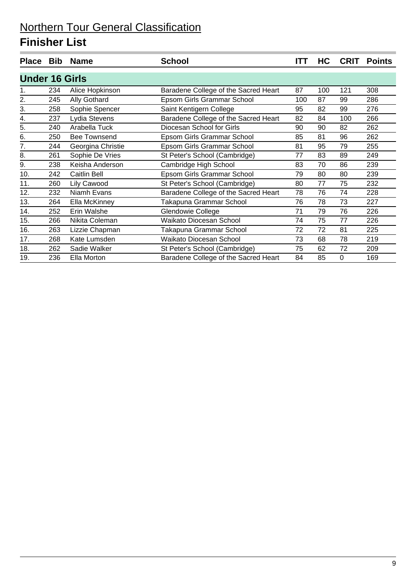| <b>Place</b>          | <b>Bib</b> | <b>Name</b>         | <b>School</b>                        | ITT | HC  | <b>CRIT</b> | <b>Points</b> |
|-----------------------|------------|---------------------|--------------------------------------|-----|-----|-------------|---------------|
| <b>Under 16 Girls</b> |            |                     |                                      |     |     |             |               |
| 1.                    | 234        | Alice Hopkinson     | Baradene College of the Sacred Heart | 87  | 100 | 121         | 308           |
| 2.                    | 245        | Ally Gothard        | Epsom Girls Grammar School           | 100 | 87  | 99          | 286           |
| 3.                    | 258        | Sophie Spencer      | Saint Kentigern College              | 95  | 82  | 99          | 276           |
| 4.                    | 237        | Lydia Stevens       | Baradene College of the Sacred Heart | 82  | 84  | 100         | 266           |
| 5.                    | 240        | Arabella Tuck       | Diocesan School for Girls            | 90  | 90  | 82          | 262           |
| 6.                    | 250        | <b>Bee Townsend</b> | Epsom Girls Grammar School           | 85  | 81  | 96          | 262           |
| 7.                    | 244        | Georgina Christie   | Epsom Girls Grammar School           | 81  | 95  | 79          | 255           |
| 8.                    | 261        | Sophie De Vries     | St Peter's School (Cambridge)        | 77  | 83  | 89          | 249           |
| 9.                    | 238        | Keisha Anderson     | Cambridge High School                | 83  | 70  | 86          | 239           |
| 10.                   | 242        | Caitlin Bell        | Epsom Girls Grammar School           | 79  | 80  | 80          | 239           |
| 11.                   | 260        | <b>Lily Cawood</b>  | St Peter's School (Cambridge)        | 80  | 77  | 75          | 232           |
| 12.                   | 232        | Niamh Evans         | Baradene College of the Sacred Heart | 78  | 76  | 74          | 228           |
| 13.                   | 264        | Ella McKinney       | Takapuna Grammar School              | 76  | 78  | 73          | 227           |
| 14.                   | 252        | Erin Walshe         | Glendowie College                    | 71  | 79  | 76          | 226           |
| 15.                   | 266        | Nikita Coleman      | Waikato Diocesan School              | 74  | 75  | 77          | 226           |
| 16.                   | 263        | Lizzie Chapman      | Takapuna Grammar School              | 72  | 72  | 81          | 225           |
| 17.                   | 268        | Kate Lumsden        | Waikato Diocesan School              | 73  | 68  | 78          | 219           |
| 18.                   | 262        | Sadie Walker        | St Peter's School (Cambridge)        | 75  | 62  | 72          | 209           |
| 19.                   | 236        | Ella Morton         | Baradene College of the Sacred Heart | 84  | 85  | 0           | 169           |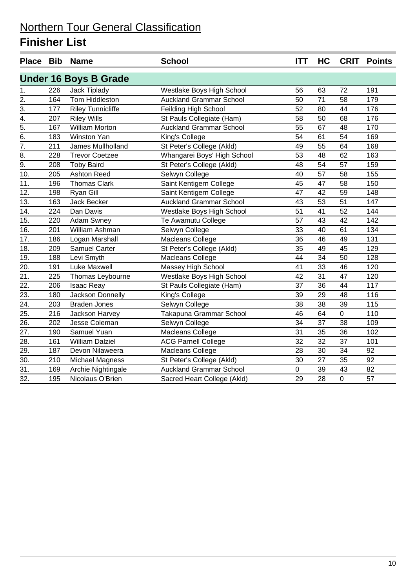|                                    |     | Place Bib Name               | <b>School</b>                  | <b>ITT</b>      | HC              | <b>CRIT</b> | <b>Points</b> |
|------------------------------------|-----|------------------------------|--------------------------------|-----------------|-----------------|-------------|---------------|
|                                    |     | <b>Under 16 Boys B Grade</b> |                                |                 |                 |             |               |
| 1.                                 | 226 | Jack Tiplady                 | Westlake Boys High School      | 56              | 63              | 72          | 191           |
| $\overline{2}$ .                   | 164 | <b>Tom Hiddleston</b>        | <b>Auckland Grammar School</b> | 50              | $\overline{71}$ | 58          | 179           |
| $\overline{3}$ .                   | 177 | <b>Riley Tunnicliffe</b>     | Feilding High School           | 52              | 80              | 44          | 176           |
| $\frac{4}{5}$ .<br>$\frac{5}{6}$ . | 207 | <b>Riley Wills</b>           | St Pauls Collegiate (Ham)      | 58              | 50              | 68          | 176           |
|                                    | 167 | <b>William Morton</b>        | <b>Auckland Grammar School</b> | 55              | 67              | 48          | 170           |
|                                    | 183 | Winston Yan                  | King's College                 | 54              | 61              | 54          | 169           |
| $\overline{7}$ .                   | 211 | James Mullholland            | St Peter's College (Akld)      | 49              | 55              | 64          | 168           |
| $\overline{8}$ .                   | 228 | <b>Trevor Coetzee</b>        | Whangarei Boys' High School    | 53              | 48              | 62          | 163           |
| $\overline{9}$ .                   | 208 | <b>Toby Baird</b>            | St Peter's College (Akld)      | 48              | 54              | 57          | 159           |
| 10.                                | 205 | <b>Ashton Reed</b>           | Selwyn College                 | 40              | 57              | 58          | 155           |
| 11.                                | 196 | <b>Thomas Clark</b>          | Saint Kentigern College        | 45              | 47              | 58          | 150           |
| 12.                                | 198 | Ryan Gill                    | Saint Kentigern College        | 47              | 42              | 59          | 148           |
| 13.                                | 163 | <b>Jack Becker</b>           | <b>Auckland Grammar School</b> | 43              | 53              | 51          | 147           |
| 14.                                | 224 | Dan Davis                    | Westlake Boys High School      | 51              | 41              | 52          | 144           |
| 15.                                | 220 | Adam Swney                   | Te Awamutu College             | 57              | 43              | 42          | 142           |
| 16.                                | 201 | William Ashman               | Selwyn College                 | 33              | 40              | 61          | 134           |
| 17.                                | 186 | Logan Marshall               | <b>Macleans College</b>        | 36              | 46              | 49          | 131           |
| 18.                                | 209 | <b>Samuel Carter</b>         | St Peter's College (Akld)      | 35              | 49              | 45          | 129           |
| 19.                                | 188 | Levi Smyth                   | <b>Macleans College</b>        | 44              | 34              | 50          | 128           |
| $\overline{20}$ .                  | 191 | Luke Maxwell                 | Massey High School             | $\overline{41}$ | $\overline{33}$ | 46          | 120           |
| $\overline{21}$ .                  | 225 | Thomas Leybourne             | Westlake Boys High School      | 42              | 31              | 47          | 120           |
| $\overline{22}$ .                  | 206 | <b>Isaac Reay</b>            | St Pauls Collegiate (Ham)      | 37              | 36              | 44          | 117           |
| 23.                                | 180 | Jackson Donnelly             | King's College                 | 39              | 29              | 48          | 116           |
| $\overline{24}$ .                  | 203 | <b>Braden Jones</b>          | Selwyn College                 | 38              | 38              | 39          | 115           |
| 25.                                | 216 | Jackson Harvey               | Takapuna Grammar School        | 46              | 64              | 0           | 110           |
| $\overline{26}$ .                  | 202 | Jesse Coleman                | Selwyn College                 | 34              | 37              | 38          | 109           |
| 27.                                | 190 | Samuel Yuan                  | <b>Macleans College</b>        | 31              | 35              | 36          | 102           |
| $\overline{28}$ .                  | 161 | <b>William Dalziel</b>       | <b>ACG Parnell College</b>     | $\overline{32}$ | 32              | 37          | 101           |
| 29.                                | 187 | Devon Nilaweera              | <b>Macleans College</b>        | 28              | 30              | 34          | 92            |
| $\overline{30}$ .                  | 210 | Michael Magness              | St Peter's College (Akld)      | 30              | 27              | 35          | 92            |
| $\overline{31}$ .                  | 169 | Archie Nightingale           | <b>Auckland Grammar School</b> | $\mathbf 0$     | 39              | 43          | 82            |
| $\overline{32}$ .                  | 195 | Nicolaus O'Brien             | Sacred Heart College (Akld)    | 29              | 28              | 0           | 57            |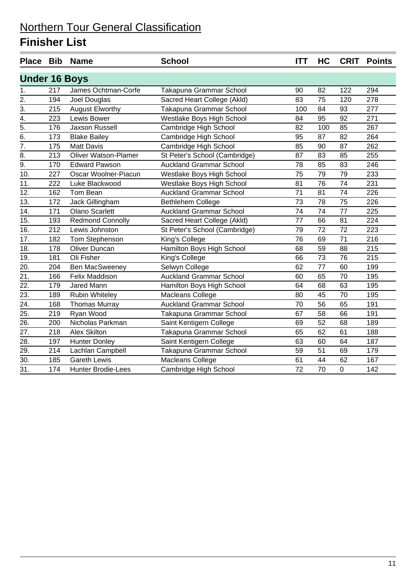| Place Bib            |     | <b>Name</b>                 | <b>School</b>                  | <b>ITT</b>      | HC              | <b>CRIT</b>     | <b>Points</b> |
|----------------------|-----|-----------------------------|--------------------------------|-----------------|-----------------|-----------------|---------------|
| <b>Under 16 Boys</b> |     |                             |                                |                 |                 |                 |               |
| 1.                   | 217 | James Ochtman-Corfe         | Takapuna Grammar School        | 90              | 82              | 122             | 294           |
| $\overline{2}$ .     | 194 | Joel Douglas                | Sacred Heart College (Akld)    | 83              | 75              | 120             | 278           |
| $\frac{1}{3}$        | 215 | <b>August Elworthy</b>      | Takapuna Grammar School        | 100             | 84              | 93              | 277           |
| $\overline{4}$ .     | 223 | Lewis Bower                 | Westlake Boys High School      | 84              | 95              | 92              | 271           |
| $\overline{5}$ .     | 176 | Jaxson Russell              | Cambridge High School          | 82              | 100             | 85              | 267           |
| $\overline{6}$ .     | 173 | <b>Blake Bailey</b>         | Cambridge High School          | 95              | 87              | 82              | 264           |
| 7.                   | 175 | <b>Matt Davis</b>           | Cambridge High School          | 85              | 90              | 87              | 262           |
| $\overline{8}$ .     | 213 | <b>Oliver Watson-Plamer</b> | St Peter's School (Cambridge)  | 87              | 83              | 85              | 255           |
| $\overline{9}$ .     | 170 | <b>Edward Pawson</b>        | <b>Auckland Grammar School</b> | 78              | 85              | 83              | 246           |
| $\overline{10}$ .    | 227 | Oscar Woolner-Piacun        | Westlake Boys High School      | 75              | 79              | 79              | 233           |
| 11.                  | 222 | Luke Blackwood              | Westlake Boys High School      | 81              | 76              | 74              | 231           |
| $\overline{12}$ .    | 162 | Tom Bean                    | <b>Auckland Grammar School</b> | $\overline{71}$ | 81              | $\overline{74}$ | 226           |
| 13.                  | 172 | Jack Gillingham             | <b>Bethlehem College</b>       | 73              | 78              | 75              | 226           |
| 14.                  | 171 | <b>Olano Scarlett</b>       | <b>Auckland Grammar School</b> | 74              | 74              | 77              | 225           |
| 15.                  | 193 | <b>Redmond Connolly</b>     | Sacred Heart College (Akld)    | 77              | 66              | 81              | 224           |
| 16.                  | 212 | Lewis Johnston              | St Peter's School (Cambridge)  | 79              | 72              | 72              | 223           |
| 17.                  | 182 | Tom Stephenson              | King's College                 | 76              | 69              | $\overline{71}$ | 216           |
| 18.                  | 178 | <b>Oliver Duncan</b>        | Hamilton Boys High School      | 68              | 59              | 88              | 215           |
| 19.                  | 181 | Oli Fisher                  | King's College                 | 66              | 73              | 76              | 215           |
| $\overline{20}$ .    | 204 | Ben MacSweeney              | Selwyn College                 | 62              | 77              | 60              | 199           |
| $\overline{21}$ .    | 166 | Felix Maddison              | <b>Auckland Grammar School</b> | 60              | 65              | 70              | 195           |
| $\overline{22}$ .    | 179 | Jared Mann                  | Hamilton Boys High School      | 64              | 68              | 63              | 195           |
| $\overline{23}$ .    | 189 | Rubin Whiteley              | <b>Macleans College</b>        | 80              | 45              | 70              | 195           |
| $\overline{24}$ .    | 168 | <b>Thomas Murray</b>        | <b>Auckland Grammar School</b> | 70              | 56              | 65              | 191           |
| 25.                  | 219 | Ryan Wood                   | Takapuna Grammar School        | 67              | 58              | 66              | 191           |
| 26.                  | 200 | Nicholas Parkman            | Saint Kentigern College        | 69              | 52              | 68              | 189           |
| 27.                  | 218 | <b>Alex Skilton</b>         | Takapuna Grammar School        | 65              | 62              | 61              | 188           |
| $\overline{28}$ .    | 197 | <b>Hunter Donley</b>        | Saint Kentigern College        | 63              | 60              | 64              | 187           |
| 29.                  | 214 | Lachlan Campbell            | Takapuna Grammar School        | 59              | 51              | 69              | 179           |
| $\overline{30}$ .    | 185 | <b>Gareth Lewis</b>         | <b>Macleans College</b>        | 61              | 44              | 62              | 167           |
| $\overline{31}$ .    | 174 | <b>Hunter Brodie-Lees</b>   | Cambridge High School          | $\overline{72}$ | $\overline{70}$ | $\mathbf 0$     | 142           |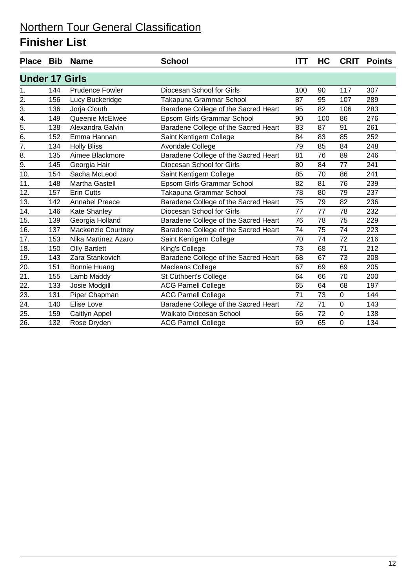|                       |     | Place Bib Name         | <b>School</b>                        | ITT | HC  | <b>CRIT</b> | <b>Points</b> |
|-----------------------|-----|------------------------|--------------------------------------|-----|-----|-------------|---------------|
| <b>Under 17 Girls</b> |     |                        |                                      |     |     |             |               |
| 1.                    | 144 | <b>Prudence Fowler</b> | Diocesan School for Girls            | 100 | 90  | 117         | 307           |
| $\overline{2}$ .      | 156 | Lucy Buckeridge        | Takapuna Grammar School              | 87  | 95  | 107         | 289           |
| $\overline{3}$ .      | 136 | Jorja Clouth           | Baradene College of the Sacred Heart | 95  | 82  | 106         | 283           |
| 4.                    | 149 | Queenie McElwee        | Epsom Girls Grammar School           | 90  | 100 | 86          | 276           |
| 5.                    | 138 | Alexandra Galvin       | Baradene College of the Sacred Heart | 83  | 87  | 91          | 261           |
| 6.                    | 152 | Emma Hannan            | Saint Kentigern College              | 84  | 83  | 85          | 252           |
| 7.                    | 134 | <b>Holly Bliss</b>     | Avondale College                     | 79  | 85  | 84          | 248           |
| 8.                    | 135 | Aimee Blackmore        | Baradene College of the Sacred Heart | 81  | 76  | 89          | 246           |
| 9.                    | 145 | Georgia Hair           | Diocesan School for Girls            | 80  | 84  | 77          | 241           |
| 10.                   | 154 | Sacha McLeod           | Saint Kentigern College              | 85  | 70  | 86          | 241           |
| 11.                   | 148 | Martha Gastell         | Epsom Girls Grammar School           | 82  | 81  | 76          | 239           |
| 12.                   | 157 | <b>Erin Cutts</b>      | Takapuna Grammar School              | 78  | 80  | 79          | 237           |
| 13.                   | 142 | <b>Annabel Preece</b>  | Baradene College of the Sacred Heart | 75  | 79  | 82          | 236           |
| 14.                   | 146 | Kate Shanley           | Diocesan School for Girls            | 77  | 77  | 78          | 232           |
| 15.                   | 139 | Georgia Holland        | Baradene College of the Sacred Heart | 76  | 78  | 75          | 229           |
| 16.                   | 137 | Mackenzie Courtney     | Baradene College of the Sacred Heart | 74  | 75  | 74          | 223           |
| 17.                   | 153 | Nika Martinez Azaro    | Saint Kentigern College              | 70  | 74  | 72          | 216           |
| 18.                   | 150 | <b>Olly Bartlett</b>   | King's College                       | 73  | 68  | 71          | 212           |
| 19.                   | 143 | Zara Stankovich        | Baradene College of the Sacred Heart | 68  | 67  | 73          | 208           |
| 20.                   | 151 | <b>Bonnie Huang</b>    | Macleans College                     | 67  | 69  | 69          | 205           |
| 21.                   | 155 | Lamb Maddy             | St Cuthbert's College                | 64  | 66  | 70          | 200           |
| 22.                   | 133 | Josie Modgill          | <b>ACG Parnell College</b>           | 65  | 64  | 68          | 197           |
| 23.                   | 131 | Piper Chapman          | <b>ACG Parnell College</b>           | 71  | 73  | 0           | 144           |
| 24.                   | 140 | Elise Love             | Baradene College of the Sacred Heart | 72  | 71  | 0           | 143           |
| 25.                   | 159 | Caitlyn Appel          | Waikato Diocesan School              | 66  | 72  | $\mathbf 0$ | 138           |
| 26.                   | 132 | Rose Dryden            | <b>ACG Parnell College</b>           | 69  | 65  | $\Omega$    | 134           |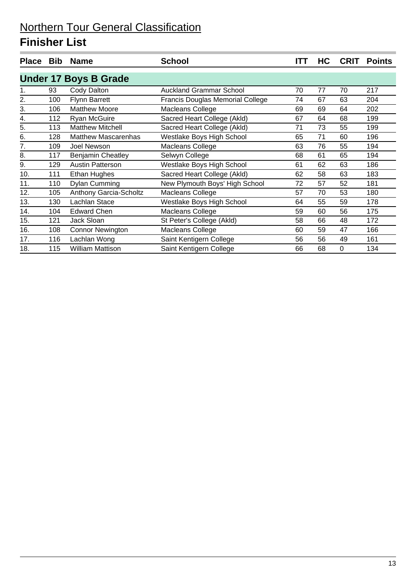| <b>Place</b>     | <b>Bib</b>                   | <b>Name</b>                | <b>School</b>                           | ITT | НC | <b>CRIT</b> | <b>Points</b> |  |  |  |
|------------------|------------------------------|----------------------------|-----------------------------------------|-----|----|-------------|---------------|--|--|--|
|                  | <b>Under 17 Boys B Grade</b> |                            |                                         |     |    |             |               |  |  |  |
| 1.               | 93                           | Cody Dalton                | <b>Auckland Grammar School</b>          | 70  | 77 | 70          | 217           |  |  |  |
| $\overline{2}$ . | 100                          | <b>Flynn Barrett</b>       | <b>Francis Douglas Memorial College</b> | 74  | 67 | 63          | 204           |  |  |  |
| 3.               | 106                          | <b>Matthew Moore</b>       | Macleans College                        | 69  | 69 | 64          | 202           |  |  |  |
| 4.               | 112                          | Ryan McGuire               | Sacred Heart College (Akld)             | 67  | 64 | 68          | 199           |  |  |  |
| 5.               | 113                          | <b>Matthew Mitchell</b>    | Sacred Heart College (Akld)             | 71  | 73 | 55          | 199           |  |  |  |
| 6.               | 128                          | <b>Matthew Mascarenhas</b> | Westlake Boys High School               | 65  | 71 | 60          | 196           |  |  |  |
| 7.               | 109                          | Joel Newson                | Macleans College                        | 63  | 76 | 55          | 194           |  |  |  |
| 8.               | 117                          | <b>Benjamin Cheatley</b>   | Selwyn College                          | 68  | 61 | 65          | 194           |  |  |  |
| 9.               | 129                          | <b>Austin Patterson</b>    | Westlake Boys High School               | 61  | 62 | 63          | 186           |  |  |  |
| 10.              | 111                          | Ethan Hughes               | Sacred Heart College (Akld)             | 62  | 58 | 63          | 183           |  |  |  |
| 11.              | 110                          | <b>Dylan Cumming</b>       | New Plymouth Boys' High School          | 72  | 57 | 52          | 181           |  |  |  |
| 12.              | 105                          | Anthony Garcia-Scholtz     | Macleans College                        | 57  | 70 | 53          | 180           |  |  |  |
| 13.              | 130                          | Lachlan Stace              | Westlake Boys High School               | 64  | 55 | 59          | 178           |  |  |  |
| 14.              | 104                          | <b>Edward Chen</b>         | Macleans College                        | 59  | 60 | 56          | 175           |  |  |  |
| 15.              | 121                          | Jack Sloan                 | St Peter's College (Akld)               | 58  | 66 | 48          | 172           |  |  |  |
| 16.              | 108                          | <b>Connor Newington</b>    | Macleans College                        | 60  | 59 | 47          | 166           |  |  |  |
| 17.              | 116                          | Lachlan Wong               | Saint Kentigern College                 | 56  | 56 | 49          | 161           |  |  |  |
| 18.              | 115                          | <b>William Mattison</b>    | Saint Kentigern College                 | 66  | 68 | 0           | 134           |  |  |  |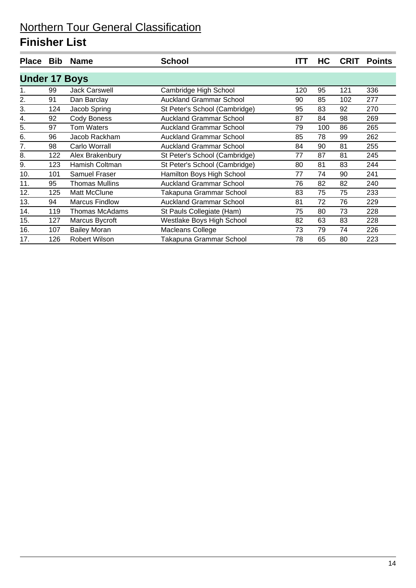| <b>Place</b>         | <b>Bib</b> | <b>Name</b>           | <b>School</b>                  | <b>ITT</b> | HC  | <b>CRIT</b> | <b>Points</b> |
|----------------------|------------|-----------------------|--------------------------------|------------|-----|-------------|---------------|
| <b>Under 17 Boys</b> |            |                       |                                |            |     |             |               |
| 1.                   | 99         | <b>Jack Carswell</b>  | Cambridge High School          | 120        | 95  | 121         | 336           |
| 2.                   | 91         | Dan Barclay           | <b>Auckland Grammar School</b> | 90         | 85  | 102         | 277           |
| 3.                   | 124        | Jacob Spring          | St Peter's School (Cambridge)  | 95         | 83  | 92          | 270           |
| 4.                   | 92         | <b>Cody Boness</b>    | <b>Auckland Grammar School</b> | 87         | 84  | 98          | 269           |
| 5.                   | 97         | Tom Waters            | <b>Auckland Grammar School</b> | 79         | 100 | 86          | 265           |
| 6.                   | 96         | Jacob Rackham         | <b>Auckland Grammar School</b> | 85         | 78  | 99          | 262           |
| 7.                   | 98         | Carlo Worrall         | <b>Auckland Grammar School</b> | 84         | 90  | 81          | 255           |
| 8.                   | 122        | Alex Brakenbury       | St Peter's School (Cambridge)  | 77         | 87  | 81          | 245           |
| 9.                   | 123        | Hamish Coltman        | St Peter's School (Cambridge)  | 80         | 81  | 83          | 244           |
| 10.                  | 101        | <b>Samuel Fraser</b>  | Hamilton Boys High School      | 77         | 74  | 90          | 241           |
| 11.                  | 95         | Thomas Mullins        | <b>Auckland Grammar School</b> | 76         | 82  | 82          | 240           |
| 12.                  | 125        | Matt McClune          | Takapuna Grammar School        | 83         | 75  | 75          | 233           |
| 13.                  | 94         | <b>Marcus Findlow</b> | <b>Auckland Grammar School</b> | 81         | 72  | 76          | 229           |
| 14.                  | 119        | Thomas McAdams        | St Pauls Collegiate (Ham)      | 75         | 80  | 73          | 228           |
| 15.                  | 127        | Marcus Bycroft        | Westlake Boys High School      | 82         | 63  | 83          | 228           |
| 16.                  | 107        | <b>Bailey Moran</b>   | Macleans College               | 73         | 79  | 74          | 226           |
| 17.                  | 126        | <b>Robert Wilson</b>  | Takapuna Grammar School        | 78         | 65  | 80          | 223           |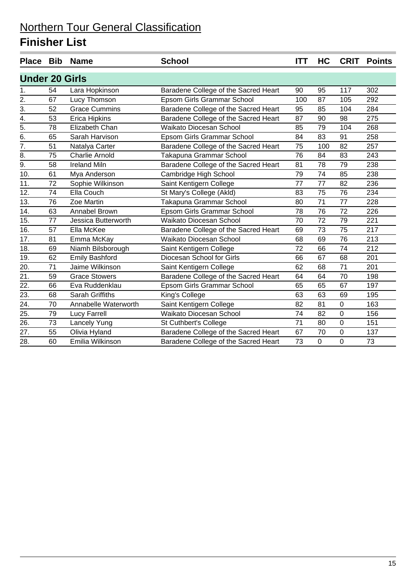|                       |    | Place Bib Name        | <b>School</b>                        | <b>ITT</b> | HC  | <b>CRIT</b>      | <b>Points</b> |  |
|-----------------------|----|-----------------------|--------------------------------------|------------|-----|------------------|---------------|--|
| <b>Under 20 Girls</b> |    |                       |                                      |            |     |                  |               |  |
| 1.                    | 54 | Lara Hopkinson        | Baradene College of the Sacred Heart | 90         | 95  | 117              | 302           |  |
| $\overline{2}$ .      | 67 | Lucy Thomson          | Epsom Girls Grammar School           | 100        | 87  | 105              | 292           |  |
| 3.                    | 52 | <b>Grace Cummins</b>  | Baradene College of the Sacred Heart | 95         | 85  | 104              | 284           |  |
| $\overline{4}$ .      | 53 | Erica Hipkins         | Baradene College of the Sacred Heart | 87         | 90  | 98               | 275           |  |
| 5.                    | 78 | Elizabeth Chan        | Waikato Diocesan School              | 85         | 79  | 104              | 268           |  |
| $\overline{6}$ .      | 65 | Sarah Harvison        | Epsom Girls Grammar School           | 84         | 83  | 91               | 258           |  |
| $\overline{7}$ .      | 51 | Natalya Carter        | Baradene College of the Sacred Heart | 75         | 100 | 82               | 257           |  |
| 8.                    | 75 | <b>Charlie Arnold</b> | Takapuna Grammar School              | 76         | 84  | 83               | 243           |  |
| $\overline{9}$ .      | 58 | <b>Ireland Miln</b>   | Baradene College of the Sacred Heart | 81         | 78  | 79               | 238           |  |
| 10.                   | 61 | Mya Anderson          | Cambridge High School                | 79         | 74  | 85               | 238           |  |
| 11.                   | 72 | Sophie Wilkinson      | Saint Kentigern College              | 77         | 77  | 82               | 236           |  |
| 12.                   | 74 | Ella Couch            | St Mary's College (Akld)             | 83         | 75  | 76               | 234           |  |
| 13.                   | 76 | Zoe Martin            | Takapuna Grammar School              | 80         | 71  | 77               | 228           |  |
| 14.                   | 63 | Annabel Brown         | Epsom Girls Grammar School           | 78         | 76  | 72               | 226           |  |
| 15.                   | 77 | Jessica Butterworth   | <b>Waikato Diocesan School</b>       | 70         | 72  | 79               | 221           |  |
| 16.                   | 57 | Ella McKee            | Baradene College of the Sacred Heart | 69         | 73  | 75               | 217           |  |
| 17.                   | 81 | Emma McKay            | Waikato Diocesan School              | 68         | 69  | 76               | 213           |  |
| 18.                   | 69 | Niamh Bilsborough     | Saint Kentigern College              | 72         | 66  | 74               | 212           |  |
| 19.                   | 62 | <b>Emily Bashford</b> | Diocesan School for Girls            | 66         | 67  | 68               | 201           |  |
| 20.                   | 71 | Jaime Wilkinson       | Saint Kentigern College              | 62         | 68  | 71               | 201           |  |
| $\overline{21}$       | 59 | <b>Grace Stowers</b>  | Baradene College of the Sacred Heart | 64         | 64  | 70               | 198           |  |
| 22.                   | 66 | Eva Ruddenklau        | Epsom Girls Grammar School           | 65         | 65  | 67               | 197           |  |
| 23.                   | 68 | Sarah Griffiths       | King's College                       | 63         | 63  | 69               | 195           |  |
| 24.                   | 70 | Annabelle Waterworth  | Saint Kentigern College              | 82         | 81  | $\pmb{0}$        | 163           |  |
| 25.                   | 79 | <b>Lucy Farrell</b>   | Waikato Diocesan School              | 74         | 82  | $\mathbf 0$      | 156           |  |
| 26.                   | 73 | Lancely Yung          | St Cuthbert's College                | 71         | 80  | $\pmb{0}$        | 151           |  |
| 27.                   | 55 | Olivia Hyland         | Baradene College of the Sacred Heart | 67         | 70  | $\boldsymbol{0}$ | 137           |  |
| 28.                   | 60 | Emilia Wilkinson      | Baradene College of the Sacred Heart | 73         | 0   | $\mathbf 0$      | 73            |  |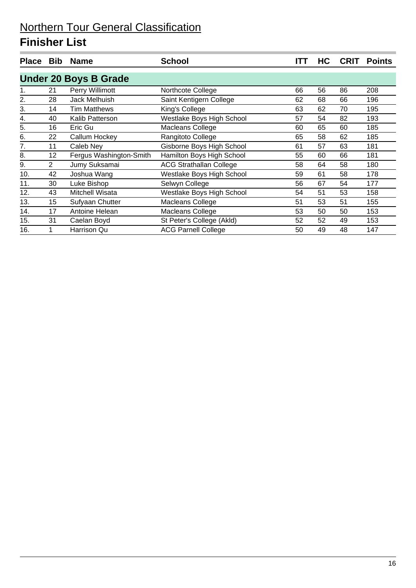| <b>Place</b> | <b>Bib</b> | <b>Name</b>                  | <b>School</b>                  | ITT | HC | <b>CRIT</b> | <b>Points</b> |
|--------------|------------|------------------------------|--------------------------------|-----|----|-------------|---------------|
|              |            | <b>Under 20 Boys B Grade</b> |                                |     |    |             |               |
|              | 21         | Perry Willimott              | Northcote College              | 66  | 56 | 86          | 208           |
| 2.           | 28         | Jack Melhuish                | Saint Kentigern College        | 62  | 68 | 66          | 196           |
| 3.           | 14         | <b>Tim Matthews</b>          | King's College                 | 63  | 62 | 70          | 195           |
| 4.           | 40         | Kalib Patterson              | Westlake Boys High School      | 57  | 54 | 82          | 193           |
| 5.           | 16         | Eric Gu                      | Macleans College               | 60  | 65 | 60          | 185           |
| 6.           | 22         | Callum Hockey                | Rangitoto College              | 65  | 58 | 62          | 185           |
| 7.           | 11         | Caleb Ney                    | Gisborne Boys High School      | 61  | 57 | 63          | 181           |
| 8.           | 12         | Fergus Washington-Smith      | Hamilton Boys High School      | 55  | 60 | 66          | 181           |
| 9.           | 2          | Jumy Suksamai                | <b>ACG Strathallan College</b> | 58  | 64 | 58          | 180           |
| 10.          | 42         | Joshua Wang                  | Westlake Boys High School      | 59  | 61 | 58          | 178           |
| 11.          | 30         | Luke Bishop                  | Selwyn College                 | 56  | 67 | 54          | 177           |
| 12.          | 43         | Mitchell Wisata              | Westlake Boys High School      | 54  | 51 | 53          | 158           |
| 13.          | 15         | Sufyaan Chutter              | Macleans College               | 51  | 53 | 51          | 155           |
| 14.          | 17         | Antoine Helean               | Macleans College               | 53  | 50 | 50          | 153           |
| 15.          | 31         | Caelan Boyd                  | St Peter's College (Akld)      | 52  | 52 | 49          | 153           |
| 16.          |            | Harrison Qu                  | <b>ACG Parnell College</b>     | 50  | 49 | 48          | 147           |